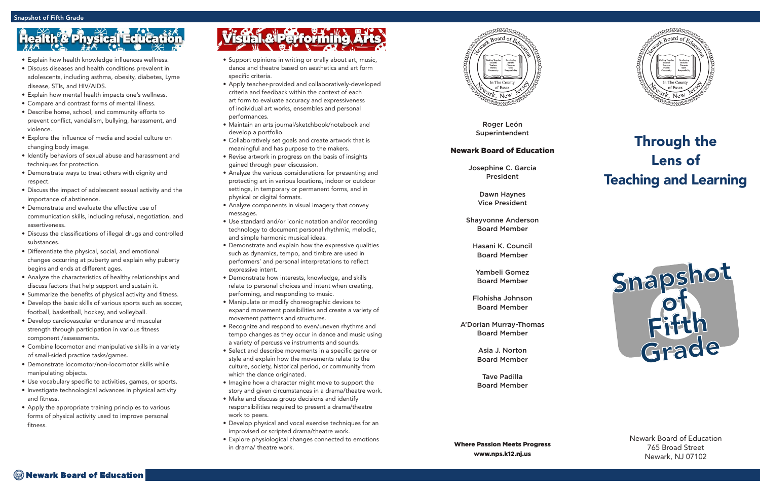Roger León Superintendent

#### Newark Board of Education

Josephine C. Garcia President

> Dawn Haynes Vice President

Shayvonne Anderson Board Member

Hasani K. Council Board Member

Yambeli Gomez Board Member

Flohisha Johnson Board Member

A'Dorian Murray-Thomas Board Member

> Asia J. Norton Board Member

> Tave Padilla Board Member



### Through the Lens of Teaching and Learning

Newark Board of Education 765 Broad Street Newark, NJ 07102

- Support opinions in writing or orally about art, music, dance and theatre based on aesthetics and art form specific criteria.
- Apply teacher-provided and collaboratively-developed criteria and feedback within the context of each art form to evaluate accuracy and expressiveness of individual art works, ensembles and personal performances.
- Maintain an arts journal/sketchbook/notebook and develop a portfolio.
- Collaboratively set goals and create artwork that is meaningful and has purpose to the makers.
- Revise artwork in progress on the basis of insights gained through peer discussion.
- Analyze the various considerations for presenting and protecting art in various locations, indoor or outdoor settings, in temporary or permanent forms, and in physical or digital formats.
- Analyze components in visual imagery that convey messages.
- Use standard and/or iconic notation and/or recording technology to document personal rhythmic, melodic, and simple harmonic musical ideas.
- Demonstrate and explain how the expressive qualities such as dynamics, tempo, and timbre are used in performers' and personal interpretations to reflect expressive intent.
- Demonstrate how interests, knowledge, and skills relate to personal choices and intent when creating, performing, and responding to music.
- Manipulate or modify choreographic devices to expand movement possibilities and create a variety of movement patterns and structures.
- Recognize and respond to even/uneven rhythms and tempo changes as they occur in dance and music using a variety of percussive instruments and sounds.
- Select and describe movements in a specific genre or style and explain how the movements relate to the culture, society, historical period, or community from which the dance originated.
- Imagine how a character might move to support the story and given circumstances in a drama/theatre work.
- Make and discuss group decisions and identify responsibilities required to present a drama/theatre work to peers.
- Develop physical and vocal exercise techniques for an improvised or scripted drama/theatre work.
- Explore physiological changes connected to emotions in drama/ theatre work.



# th<sup>e</sup>s Physical Educa

- Explain how health knowledge influences wellness.
- Discuss diseases and health conditions prevalent in adolescents, including asthma, obesity, diabetes, Lyme disease, STIs, and HIV/AIDS.
- Explain how mental health impacts one's wellness.
- Compare and contrast forms of mental illness.
- Describe home, school, and community efforts to prevent conflict, vandalism, bullying, harassment, and violence.
- Explore the influence of media and social culture on changing body image.
- Identify behaviors of sexual abuse and harassment and techniques for protection.
- Demonstrate ways to treat others with dignity and respect.
- Discuss the impact of adolescent sexual activity and the importance of abstinence.
- Demonstrate and evaluate the effective use of communication skills, including refusal, negotiation, and assertiveness.
- Discuss the classifications of illegal drugs and controlled substances.
- Differentiate the physical, social, and emotional changes occurring at puberty and explain why puberty begins and ends at different ages.
- Analyze the characteristics of healthy relationships and discuss factors that help support and sustain it.
- Summarize the benefits of physical activity and fitness.
- Develop the basic skills of various sports such as soccer, football, basketball, hockey, and volleyball.
- Develop cardiovascular endurance and muscular strength through participation in various fitness component /assessments.
- Combine locomotor and manipulative skills in a variety of small-sided practice tasks/games.
- Demonstrate locomotor/non-locomotor skills while manipulating objects.
- Use vocabulary specific to activities, games, or sports.
- Investigate technological advances in physical activity and fitness.
- Apply the appropriate training principles to various forms of physical activity used to improve personal fitness.

# Visual & Performing